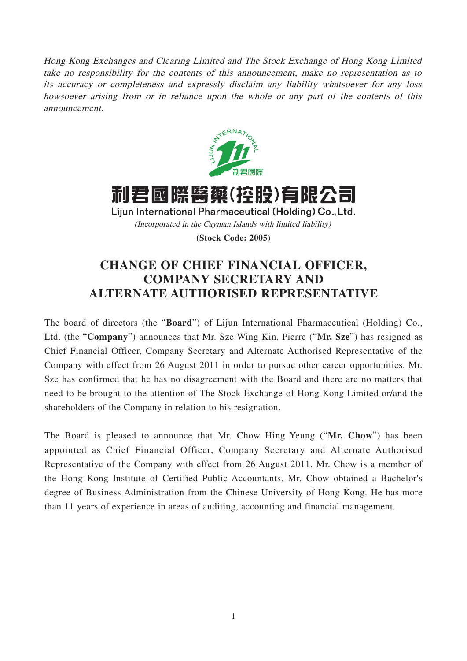Hong Kong Exchanges and Clearing Limited and The Stock Exchange of Hong Kong Limited take no responsibility for the contents of this announcement, make no representation as to its accuracy or completeness and expressly disclaim any liability whatsoever for any loss howsoever arising from or in reliance upon the whole or any part of the contents of this announcement.





Lijun International Pharmaceutical (Holding) Co., Ltd.

(Incorporated in the Cayman Islands with limited liability)

**(Stock Code: 2005)**

## **CHANGE OF CHIEF FINANCIAL OFFICER, COMPANY SECRETARY AND ALTERNATE AUTHORISED REPRESENTATIVE**

The board of directors (the "**Board**") of Lijun International Pharmaceutical (Holding) Co., Ltd. (the "**Company**") announces that Mr. Sze Wing Kin, Pierre ("**Mr. Sze**") has resigned as Chief Financial Officer, Company Secretary and Alternate Authorised Representative of the Company with effect from 26 August 2011 in order to pursue other career opportunities. Mr. Sze has confirmed that he has no disagreement with the Board and there are no matters that need to be brought to the attention of The Stock Exchange of Hong Kong Limited or/and the shareholders of the Company in relation to his resignation.

The Board is pleased to announce that Mr. Chow Hing Yeung ("**Mr. Chow**") has been appointed as Chief Financial Officer, Company Secretary and Alternate Authorised Representative of the Company with effect from 26 August 2011. Mr. Chow is a member of the Hong Kong Institute of Certified Public Accountants. Mr. Chow obtained a Bachelor's degree of Business Administration from the Chinese University of Hong Kong. He has more than 11 years of experience in areas of auditing, accounting and financial management.